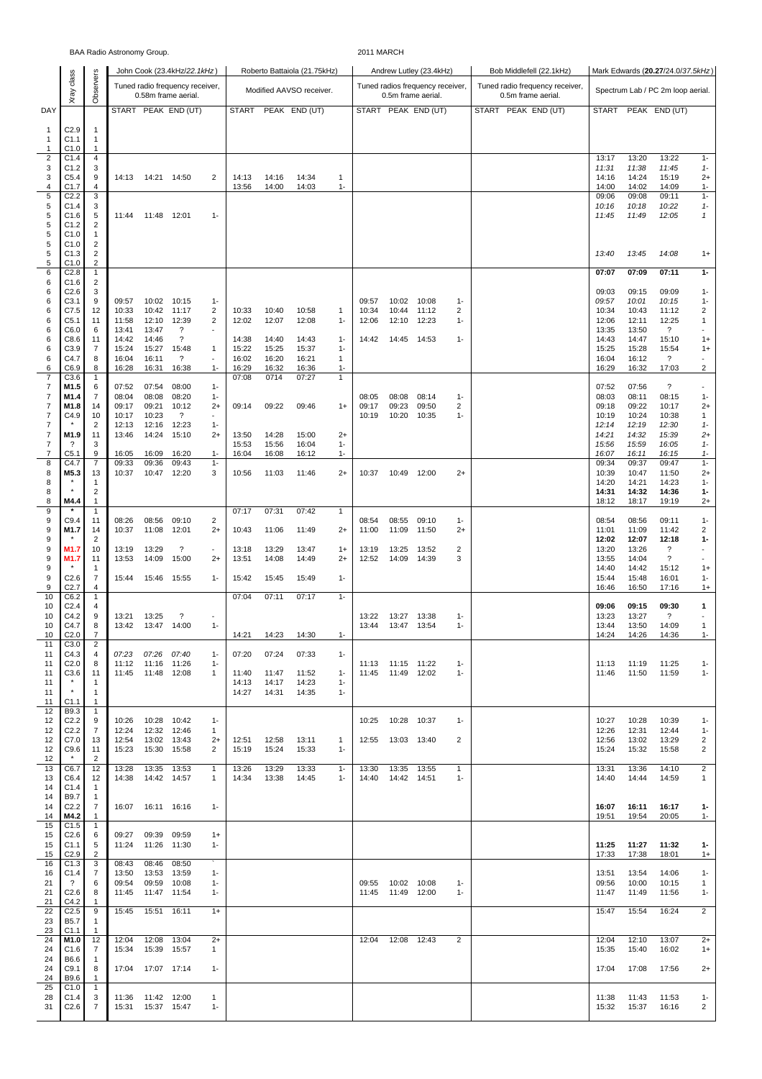| BAA Radio Astronomy Group.     |                              |                                         |                |                            |                                                        |                             |                |                |                              | 2011 MARCH            |                |                                            |                                                        |                       |                                                       |                                   |                |                                                      |                         |  |  |
|--------------------------------|------------------------------|-----------------------------------------|----------------|----------------------------|--------------------------------------------------------|-----------------------------|----------------|----------------|------------------------------|-----------------------|----------------|--------------------------------------------|--------------------------------------------------------|-----------------------|-------------------------------------------------------|-----------------------------------|----------------|------------------------------------------------------|-------------------------|--|--|
|                                |                              | John Cook (23.4kHz/22.1kHz)             |                |                            |                                                        |                             |                |                | Roberto Battaiola (21.75kHz) |                       |                |                                            | Andrew Lutley (23.4kHz)                                |                       | Bob Middlefell (22.1kHz)                              | Mark Edwards (20.27/24.0/37.5kHz) |                |                                                      |                         |  |  |
|                                | Xray class                   | Observers                               |                |                            | Tuned radio frequency receiver,<br>0.58m frame aerial. |                             |                |                | Modified AAVSO receiver.     |                       |                |                                            | Tuned radios frequency receiver,<br>0.5m frame aerial. |                       | Tuned radio frequency receiver,<br>0.5m frame aerial. | Spectrum Lab / PC 2m loop aerial. |                |                                                      |                         |  |  |
| DAY                            |                              |                                         |                |                            | START PEAK END (UT)                                    |                             | <b>START</b>   |                | PEAK END (UT)                |                       |                |                                            | START PEAK END (UT)                                    |                       | START PEAK END (UT)                                   | START                             |                | PEAK END (UT)                                        |                         |  |  |
| $\mathbf{1}$<br>$\overline{1}$ | C2.9<br>C <sub>1.1</sub>     | $\mathbf{1}$<br>$\mathbf{1}$            |                |                            |                                                        |                             |                |                |                              |                       |                |                                            |                                                        |                       |                                                       |                                   |                |                                                      |                         |  |  |
| 1                              | C1.0                         | 1                                       |                |                            |                                                        |                             |                |                |                              |                       |                |                                            |                                                        |                       |                                                       |                                   |                |                                                      |                         |  |  |
| $\overline{2}$<br>3            | C1.4<br>C1.2                 | 4<br>3                                  |                |                            |                                                        |                             |                |                |                              |                       |                |                                            |                                                        |                       |                                                       | 13:17<br>11:31                    | 13:20<br>11:38 | 13:22<br>11:45                                       | $1 -$<br>$1 -$          |  |  |
| 3<br>4                         | C5.4<br>C1.7                 | 9<br>4                                  |                | 14:13  14:21  14:50        |                                                        | 2                           | 14:13<br>13:56 | 14:16<br>14:00 | 14:34<br>14:03               | $\mathbf{1}$<br>$1 -$ |                |                                            |                                                        |                       |                                                       | 14:16<br>14:00                    | 14:24<br>14:02 | 15:19<br>14:09                                       | $2+$<br>$1 -$           |  |  |
| 5                              | C <sub>2.2</sub>             | 3                                       |                |                            |                                                        |                             |                |                |                              |                       |                |                                            |                                                        |                       |                                                       | 09:06                             | 09:08          | 09:11                                                | $1 -$                   |  |  |
| 5<br>5                         | C1.4<br>C1.6                 | 3<br>5                                  | 11:44          | 11:48 12:01                |                                                        | $1 -$                       |                |                |                              |                       |                |                                            |                                                        |                       |                                                       | 10:16<br>11:45                    | 10:18<br>11:49 | 10:22<br>12:05                                       | $1-$<br>$\mathbf{1}$    |  |  |
| $\,$ 5 $\,$                    | C1.2                         | 2                                       |                |                            |                                                        |                             |                |                |                              |                       |                |                                            |                                                        |                       |                                                       |                                   |                |                                                      |                         |  |  |
| 5<br>$\,$ 5 $\,$               | C1.0<br>C1.0                 | 1<br>$\overline{c}$                     |                |                            |                                                        |                             |                |                |                              |                       |                |                                            |                                                        |                       |                                                       |                                   |                |                                                      |                         |  |  |
| $\,$ 5 $\,$                    | C1.3                         | 2                                       |                |                            |                                                        |                             |                |                |                              |                       |                |                                            |                                                        |                       |                                                       | 13:40                             | 13:45          | 14:08                                                | $1+$                    |  |  |
| 5<br>6                         | C1.0<br>C2.8                 | $\overline{\mathbf{c}}$<br>$\mathbf{1}$ |                |                            |                                                        |                             |                |                |                              |                       |                |                                            |                                                        |                       |                                                       | 07:07                             | 07:09          | 07:11                                                | $1 -$                   |  |  |
| 6<br>6                         | C1.6<br>C2.6                 | $\overline{\mathbf{c}}$<br>3            |                |                            |                                                        |                             |                |                |                              |                       |                |                                            |                                                        |                       |                                                       | 09:03                             |                |                                                      | $1 -$                   |  |  |
| 6                              | C3.1                         | 9                                       | 09:57          | 10:02                      | 10:15                                                  | $1 -$                       |                |                |                              |                       | 09:57          | 10:02                                      | 10:08                                                  | $1 -$                 |                                                       | 09:57                             | 09:15<br>10:01 | 09:09<br>10:15                                       | $1 -$                   |  |  |
| 6<br>6                         | C7.5<br>C <sub>5.1</sub>     | 12<br>11                                | 10:33<br>11:58 | 10:42<br>12:10             | 11:17<br>12:39                                         | 2<br>2                      | 10:33<br>12:02 | 10:40<br>12:07 | 10:58<br>12:08               | $\mathbf{1}$<br>$1 -$ | 10:34<br>12:06 | 10:44<br>12:10                             | 11:12<br>12:23                                         | 2<br>$1 -$            |                                                       | 10:34<br>12:06                    | 10:43<br>12:11 | 11:12<br>12:25                                       | 2<br>1                  |  |  |
| 6                              | C6.0                         | 6                                       | 13:41          | 13:47                      | ?                                                      |                             |                |                |                              |                       |                |                                            |                                                        |                       |                                                       | 13:35                             | 13:50          | $\overline{\mathcal{L}}$                             | $\blacksquare$          |  |  |
| 6<br>6                         | C8.6<br>C3.9                 | 11<br>7                                 | 14:42<br>15:24 | 14:46<br>15:27             | $\overline{\cdot}$<br>15:48                            | $\mathbf{1}$                | 14:38<br>15:22 | 14:40<br>15:25 | 14:43<br>15:37               | $1 -$<br>$1 -$        | 14:42          | 14:45 14:53                                |                                                        | $1 -$                 |                                                       | 14:43<br>15:25                    | 14:47<br>15:28 | 15:10<br>15:54                                       | $1+$<br>$1+$            |  |  |
| 6                              | C4.7                         | 8                                       | 16:04          | 16:11                      | $\overline{?}$                                         | $\overline{\phantom{a}}$    | 16:02          | 16:20          | 16:21                        | $\mathbf{1}$          |                |                                            |                                                        |                       |                                                       | 16:04                             | 16:12          | $\cdot$                                              | $\blacksquare$          |  |  |
| 6<br>7                         | C6.9<br>C3.6                 | 8<br>1                                  | 16:28          | 16:31                      | 16:38                                                  | $1 -$                       | 16:29<br>07:08 | 16:32<br>0714  | 16:36<br>07:27               | $1-$<br>$\mathbf{1}$  |                |                                            |                                                        |                       |                                                       | 16:29                             | 16:32          | 17:03                                                | $\overline{c}$          |  |  |
| 7<br>7                         | M1.5<br>M1.4                 | 6<br>7                                  | 07:52<br>08:04 | 07:54<br>08:08             | 08:00<br>08:20                                         | $1 -$<br>$1 -$              |                |                |                              |                       | 08:05          | 08:08                                      | 08:14                                                  | $1 -$                 |                                                       | 07:52<br>08:03                    | 07:56<br>08:11 | $\overline{\cdot}$<br>08:15                          | $\blacksquare$<br>$1 -$ |  |  |
| 7                              | M1.8                         | 14                                      | 09:17          | 09:21                      | 10:12                                                  | $2+$                        | 09:14          | 09:22          | 09:46                        | $1+$                  | 09:17          | 09:23                                      | 09:50                                                  | 2                     |                                                       | 09:18                             | 09:22          | 10:17                                                | $2+$                    |  |  |
| 7<br>7                         | C4.9                         | 10<br>2                                 | 10:17<br>12:13 | 10:23<br>12:16             | $\overline{\cdot}$<br>12:23                            | $\blacksquare$<br>$1 -$     |                |                |                              |                       | 10:19          | 10:20                                      | 10:35                                                  | $1 -$                 |                                                       | 10:19<br>12:14                    | 10:24<br>12:19 | 10:38<br>12:30                                       | $\mathbf{1}$<br>$1 -$   |  |  |
| 7                              | M1.9                         | 11                                      | 13:46          | 14:24                      | 15:10                                                  | $2+$                        | 13:50          | 14:28          | 15:00                        | $2+$                  |                |                                            |                                                        |                       |                                                       | 14:21                             | 14:32          | 15:39                                                | $2+$                    |  |  |
| 7<br>7                         | ?<br>C5.1                    | 3<br>9                                  | 16:05          | 16:09                      | 16:20                                                  | $1 -$                       | 15:53<br>16:04 | 15:56<br>16:08 | 16:04<br>16:12               | $1 -$<br>$1 -$        |                |                                            |                                                        |                       |                                                       | 15:56<br>16:07                    | 15:59<br>16:11 | 16:05<br>16:15                                       | $1 -$<br>$1-$           |  |  |
| 8                              | C4.7<br>M5.3                 | $\overline{7}$                          | 09:33<br>10:37 | 09:36                      | 09:43<br>12:20                                         | $1 -$<br>3                  | 10:56          |                | 11:46                        |                       | 10:37          | 10:49 12:00                                |                                                        |                       |                                                       | 09:34<br>10:39                    | 09:37          | 09:47                                                | $1 -$                   |  |  |
| 8<br>8                         |                              | 13<br>1                                 |                | 10:47                      |                                                        |                             |                | 11:03          |                              | $2+$                  |                |                                            |                                                        | $2+$                  |                                                       | 14:20                             | 10:47<br>14:21 | 11:50<br>14:23                                       | $2+$<br>$1 -$           |  |  |
| 8<br>8                         | M4.4                         | 2<br>$\mathbf{1}$                       |                |                            |                                                        |                             |                |                |                              |                       |                |                                            |                                                        |                       |                                                       | 14:31<br>18:12                    | 14:32<br>18:17 | 14:36<br>19:19                                       | 1-<br>$2+$              |  |  |
| 9                              |                              | $\mathbf{1}$                            |                |                            |                                                        |                             | 07:17          | 07:31          | 07:42                        | $\mathbf{1}$          |                |                                            |                                                        |                       |                                                       |                                   |                |                                                      |                         |  |  |
| 9<br>9                         | C9.4<br>M1.7                 | 11<br>14                                | 08:26<br>10:37 | 08:56<br>11:08 12:01       | 09:10                                                  | 2<br>$2+$                   | 10:43          | 11:06          | 11:49                        | $2+$                  | 08:54<br>11:00 | 08:55<br>11:09                             | 09:10<br>11:50                                         | $1 -$<br>$2+$         |                                                       | 08:54<br>11:01                    | 08:56<br>11:09 | 09:11<br>11:42                                       | $1 -$<br>2              |  |  |
| 9                              |                              | $\overline{2}$                          |                |                            |                                                        |                             |                |                |                              |                       |                |                                            |                                                        |                       |                                                       | 12:02                             | 12:07          | 12:18                                                | 1-                      |  |  |
| 9<br>9                         | M1.7<br>M1.7                 | 10<br>11                                | 13:19<br>13:53 | 13:29<br>14:09             | $\overline{\mathbf{?}}$<br>15:00                       | $\blacksquare$<br>$2+$      | 13:18<br>13:51 | 13:29<br>14:08 | 13:47<br>14:49               | $1+$<br>$2+$          | 13:19<br>12:52 | 13:25<br>14:09                             | 13:52<br>14:39                                         | 2<br>3                |                                                       | 13:20<br>13:55                    | 13:26<br>14:04 | $\overline{\phantom{a}}$<br>$\overline{\phantom{a}}$ | $\blacksquare$          |  |  |
| 9<br>9                         | C2.6                         | 1<br>7                                  | 15:44          | 15:46 15:55                |                                                        | $1 -$                       | 15:42          | 15:45          | 15:49                        | $1 -$                 |                |                                            |                                                        |                       |                                                       | 14:40<br>15:44                    | 14:42<br>15:48 | 15:12<br>16:01                                       | $1+$<br>$1 -$           |  |  |
| 9                              | C2.7                         | 4                                       |                |                            |                                                        |                             |                |                |                              |                       |                |                                            |                                                        |                       |                                                       | 16:46                             | 16:50          | 17:16                                                | $1+$                    |  |  |
| 10<br>10                       | C6.2<br>C <sub>2.4</sub>     | 1<br>4                                  |                |                            |                                                        |                             | 07:04          | 07:11          | 07:17                        | $1 -$                 |                |                                            |                                                        |                       |                                                       | 09:06                             | 09:15          | 09:30                                                | 1                       |  |  |
| 10                             | C4.2<br>C4.7                 | 9                                       | 13:21          | 13:25                      | $\overline{\phantom{a}}$                               |                             |                |                |                              |                       |                | 13:22  13:27  13:38<br>13:44  13:47  13:54 |                                                        | $1 -$                 |                                                       | 13:23                             | 13:27          | ?                                                    |                         |  |  |
| 10<br>10                       | C2.0                         | 8<br>7                                  |                | 13:42  13:47  14:00        |                                                        | $1 -$                       | 14:21          | 14:23          | 14:30                        | $1 -$                 |                |                                            |                                                        | $1 -$                 |                                                       | 13:44<br>14:24                    | 13:50<br>14:26 | 14:09<br>14:36                                       | 1<br>$1 -$              |  |  |
| 11<br>11                       | C3.0<br>C4.3                 | 2<br>4                                  | 07:23          | 07:26 07:40                |                                                        | $1 -$                       | 07:20          | 07:24          | 07:33                        | $1 -$                 |                |                                            |                                                        |                       |                                                       |                                   |                |                                                      |                         |  |  |
| 11                             | C <sub>2.0</sub>             | 8                                       | 11:12          | 11:16 11:26                |                                                        | $1 -$                       |                |                |                              |                       |                | 11:13 11:15 11:22                          |                                                        | $1 -$                 |                                                       | 11:13                             | 11:19          | 11:25                                                | $1 -$                   |  |  |
| 11<br>11                       | C3.6                         | 11<br>1                                 |                | 11:45 11:48 12:08          |                                                        | 1                           | 11:40<br>14:13 | 11:47<br>14:17 | 11:52<br>14:23               | $1 -$<br>$1 -$        |                | 11:45 11:49 12:02                          |                                                        | $1 -$                 |                                                       | 11:46                             | 11:50          | 11:59                                                | $1 -$                   |  |  |
| 11<br>11                       | $^\star$<br>C <sub>1.1</sub> | 1<br>1                                  |                |                            |                                                        |                             | 14:27          | 14:31          | 14:35                        | $1 -$                 |                |                                            |                                                        |                       |                                                       |                                   |                |                                                      |                         |  |  |
| 12                             | B9.3                         | $\overline{1}$                          |                |                            |                                                        |                             |                |                |                              |                       |                |                                            |                                                        |                       |                                                       |                                   |                |                                                      |                         |  |  |
| 12<br>12                       | C2.2<br>C <sub>2.2</sub>     | 9<br>7                                  | 10:26<br>12:24 | 10:28 10:42<br>12:32 12:46 |                                                        | $1 -$<br>$\mathbf{1}$       |                |                |                              |                       | 10:25          | 10:28 10:37                                |                                                        | $1 -$                 |                                                       | 10:27<br>12:26                    | 10:28<br>12:31 | 10:39<br>12:44                                       | $1 -$<br>$1 -$          |  |  |
| 12                             | C7.0                         | 13                                      | 12:54          | 13:02 13:43                |                                                        | $2+$                        | 12:51          | 12:58          | 13:11                        | $\mathbf{1}$          | 12:55          | 13:03 13:40                                |                                                        | 2                     |                                                       | 12:56                             | 13:02          | 13:29                                                | 2                       |  |  |
| 12<br>12                       | C9.6<br>$\star$              | 11<br>2                                 | 15:23          |                            | 15:30 15:58                                            | 2                           | 15:19          | 15:24          | 15:33                        | $1 -$                 |                |                                            |                                                        |                       |                                                       | 15:24                             | 15:32          | 15:58                                                | 2                       |  |  |
| 13<br>13                       | C6.7<br>C6.4                 | 12<br>12                                | 13:28<br>14:38 | 14:42 14:57                | 13:35 13:53                                            | 1<br>1                      | 13:26<br>14:34 | 13:29<br>13:38 | 13:33<br>14:45               | $1 -$<br>$1 -$        | 13:30<br>14:40 | 13:35 13:55<br>14:42 14:51                 |                                                        | $\mathbf{1}$<br>$1 -$ |                                                       | 13:31<br>14:40                    | 13:36<br>14:44 | 14:10<br>14:59                                       | 2<br>1                  |  |  |
| 14                             | C1.4                         | 1                                       |                |                            |                                                        |                             |                |                |                              |                       |                |                                            |                                                        |                       |                                                       |                                   |                |                                                      |                         |  |  |
| 14<br>14                       | B9.7<br>C <sub>2.2</sub>     | $\overline{1}$<br>7                     |                | 16:07  16:11  16:16        |                                                        | $1 -$                       |                |                |                              |                       |                |                                            |                                                        |                       |                                                       | 16:07                             | 16:11          | 16:17                                                | $1 -$                   |  |  |
| 14                             | M4.2                         | 1                                       |                |                            |                                                        |                             |                |                |                              |                       |                |                                            |                                                        |                       |                                                       | 19:51                             | 19:54          | 20:05                                                | $1 -$                   |  |  |
| 15<br>15                       | C1.5<br>C2.6                 | $\mathbf{1}$<br>6                       | 09:27          | 09:39 09:59                |                                                        | $1+$                        |                |                |                              |                       |                |                                            |                                                        |                       |                                                       |                                   |                |                                                      |                         |  |  |
| 15<br>15                       | C1.1<br>C <sub>2.9</sub>     | 5<br>2                                  | 11:24          | 11:26 11:30                |                                                        | $1 -$                       |                |                |                              |                       |                |                                            |                                                        |                       |                                                       | 11:25<br>17:33                    | 11:27<br>17:38 | 11:32<br>18:01                                       | $1 -$<br>$1+$           |  |  |
| 16                             | C1.3                         | 3                                       | 08:43          | 08:46                      | 08:50                                                  | $\mathcal{N}_{\mathcal{N}}$ |                |                |                              |                       |                |                                            |                                                        |                       |                                                       |                                   |                |                                                      |                         |  |  |
| 16<br>21                       | C1.4<br>$\ddot{\phantom{0}}$ | 7<br>6                                  | 13:50<br>09:54 | 13:53                      | 13:59<br>09:59 10:08                                   | $1 -$<br>$1 -$              |                |                |                              |                       | 09:55          | 10:02 10:08                                |                                                        | $1 -$                 |                                                       | 13:51<br>09:56                    | 13:54<br>10:00 | 14:06<br>10:15                                       | $1 -$<br>1              |  |  |
| 21                             | C2.6                         | 8                                       | 11:45          | 11:47 11:54                |                                                        | $1 -$                       |                |                |                              |                       | 11:45          | 11:49 12:00                                |                                                        | $1 -$                 |                                                       | 11:47                             | 11:49          | 11:56                                                | $1 -$                   |  |  |
| 21<br>22                       | C4.2<br>C <sub>2.5</sub>     | $\mathbf{1}$<br>9                       | 15:45          | 15:51                      | 16:11                                                  | $1+$                        |                |                |                              |                       |                |                                            |                                                        |                       |                                                       | 15:47                             | 15:54          | 16:24                                                | 2                       |  |  |
| 23<br>23                       | <b>B5.7</b><br>C1.1          | 1<br>1                                  |                |                            |                                                        |                             |                |                |                              |                       |                |                                            |                                                        |                       |                                                       |                                   |                |                                                      |                         |  |  |
| 24                             | M1.0<br>C1.6                 | 12                                      | 12:04          | 12:08                      | 13:04                                                  | $2+$                        |                |                |                              |                       | 12:04          | 12:08 12:43                                |                                                        | 2                     |                                                       | 12:04<br>15:35                    | 12:10<br>15:40 | 13:07<br>16:02                                       | $2+$                    |  |  |
| 24<br>24                       | B6.6                         | 7<br>$\overline{1}$                     | 15:34          | 15:39 15:57                |                                                        | $\mathbf{1}$                |                |                |                              |                       |                |                                            |                                                        |                       |                                                       |                                   |                |                                                      | $1+$                    |  |  |
| 24<br>24                       | C9.1<br>B9.6                 | 8<br>1                                  |                | 17:04  17:07  17:14        |                                                        | $1 -$                       |                |                |                              |                       |                |                                            |                                                        |                       |                                                       | 17:04                             | 17:08          | 17:56                                                | $2+$                    |  |  |
| 25<br>28                       | C1.0<br>C1.4                 | 1<br>3                                  |                | 11:36 11:42 12:00          |                                                        | 1                           |                |                |                              |                       |                |                                            |                                                        |                       |                                                       | 11:38                             | 11:43          | 11:53                                                | $1 -$                   |  |  |
| 31                             | C2.6                         | 7                                       |                | 15:31  15:37  15:47        |                                                        | $1 -$                       |                |                |                              |                       |                |                                            |                                                        |                       |                                                       | 15:32                             | 15:37          | 16:16                                                | 2                       |  |  |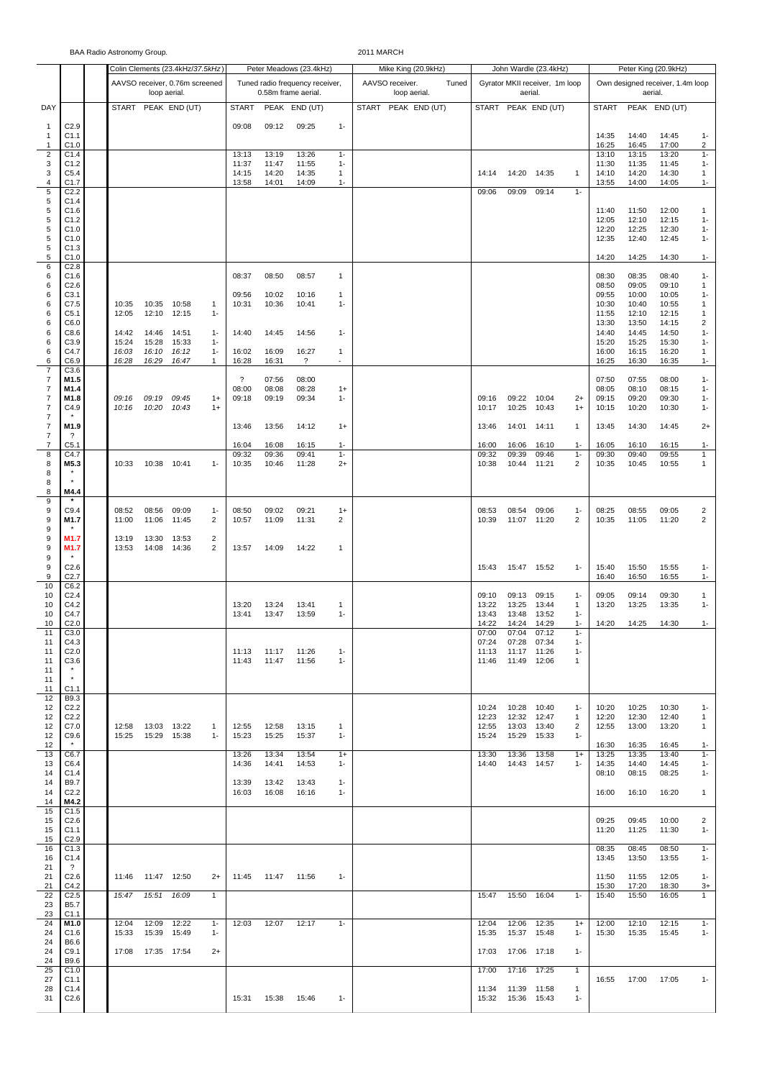|                                  |                                  | BAA Radio Astronomy Group. |                |                                  |                         |                      |                |                                                        |                                          | 2011 MARCH                               |                |                |                                           |                                | Peter King (20.9kHz) |                                             |                |                              |  |
|----------------------------------|----------------------------------|----------------------------|----------------|----------------------------------|-------------------------|----------------------|----------------|--------------------------------------------------------|------------------------------------------|------------------------------------------|----------------|----------------|-------------------------------------------|--------------------------------|----------------------|---------------------------------------------|----------------|------------------------------|--|
|                                  |                                  |                            |                | Colin Clements (23.4kHz/37.5kHz) |                         |                      |                | Peter Meadows (23.4kHz)                                |                                          | Mike King (20.9kHz)                      |                |                | John Wardle (23.4kHz)                     |                                |                      |                                             |                |                              |  |
|                                  |                                  |                            | loop aerial.   | AAVSO receiver, 0.76m screened   |                         |                      |                | Tuned radio frequency receiver,<br>0.58m frame aerial. |                                          | AAVSO receiver.<br>Tuned<br>loop aerial. |                |                | Gyrator MKII receiver, 1m loop<br>aerial. |                                |                      | Own designed receiver, 1.4m loop<br>aerial. |                |                              |  |
| DAY                              |                                  | <b>START</b>               |                | PEAK END (UT)                    |                         | <b>START</b>         |                | PEAK END (UT)                                          |                                          | START<br>PEAK END (UT)                   |                |                | START PEAK END (UT)                       |                                | <b>START</b>         |                                             | PEAK END (UT)  |                              |  |
| $\mathbf{1}$<br>$\mathbf{1}$     | C2.9<br>C1.1                     |                            |                |                                  |                         | 09:08                | 09:12          | 09:25                                                  | $1 -$                                    |                                          |                |                |                                           |                                | 14:35                | 14:40                                       | 14:45          | $1 -$                        |  |
| $\mathbf{1}$<br>$\overline{c}$   | C1.0<br>C1.4                     |                            |                |                                  |                         | 13:13                | 13:19          | 13:26                                                  | $1 -$                                    |                                          |                |                |                                           |                                | 16:25<br>13:10       | 16:45<br>13:15                              | 17:00<br>13:20 | $\overline{2}$<br>$1 -$      |  |
| 3                                | C1.2                             |                            |                |                                  |                         | 11:37                | 11:47          | 11:55                                                  | $1 -$                                    |                                          |                |                |                                           |                                | 11:30                | 11:35                                       | 11:45          | $1 -$                        |  |
| 3<br>4                           | C5.4<br>C1.7                     |                            |                |                                  |                         | 14:15<br>13:58       | 14:20<br>14:01 | 14:35<br>14:09                                         | 1<br>$1 -$                               |                                          | 14:14          | 14:20          | 14:35                                     | $\mathbf{1}$                   | 14:10<br>13:55       | 14:20<br>14:00                              | 14:30<br>14:05 | $\mathbf{1}$<br>$1 -$        |  |
| 5                                | C2.2                             |                            |                |                                  |                         |                      |                |                                                        |                                          |                                          | 09:06          | 09:09          | 09:14                                     | $1 -$                          |                      |                                             |                |                              |  |
| 5<br>5                           | C1.4<br>C1.6                     |                            |                |                                  |                         |                      |                |                                                        |                                          |                                          |                |                |                                           |                                | 11:40                | 11:50                                       | 12:00          | $\mathbf{1}$                 |  |
| 5<br>5                           | C1.2<br>C1.0                     |                            |                |                                  |                         |                      |                |                                                        |                                          |                                          |                |                |                                           |                                | 12:05<br>12:20       | 12:10<br>12:25                              | 12:15<br>12:30 | $1 -$<br>$1 -$               |  |
| 5                                | C1.0                             |                            |                |                                  |                         |                      |                |                                                        |                                          |                                          |                |                |                                           |                                | 12:35                | 12:40                                       | 12:45          | $1 -$                        |  |
| 5<br>5                           | C1.3<br>C1.0                     |                            |                |                                  |                         |                      |                |                                                        |                                          |                                          |                |                |                                           |                                | 14:20                | 14:25                                       | 14:30          | $1 -$                        |  |
| 6<br>6                           | C2.8<br>C <sub>1.6</sub>         |                            |                |                                  |                         | 08:37                | 08:50          | 08:57                                                  | $\mathbf{1}$                             |                                          |                |                |                                           |                                | 08:30                | 08:35                                       | 08:40          | $1 -$                        |  |
| 6                                | C <sub>2.6</sub>                 |                            |                |                                  |                         |                      |                |                                                        |                                          |                                          |                |                |                                           |                                | 08:50                | 09:05                                       | 09:10          | 1                            |  |
| 6<br>6                           | C3.1<br>C7.5                     | 10:35                      | 10:35          | 10:58                            | 1                       | 09:56<br>10:31       | 10:02<br>10:36 | 10:16<br>10:41                                         | $\mathbf{1}$<br>$1 -$                    |                                          |                |                |                                           |                                | 09:55<br>10:30       | 10:00<br>10:40                              | 10:05<br>10:55 | $1 -$<br>$\mathbf{1}$        |  |
| 6                                | C <sub>5.1</sub>                 | 12:05                      | 12:10          | 12:15                            | $1 -$                   |                      |                |                                                        |                                          |                                          |                |                |                                           |                                | 11:55                | 12:10                                       | 12:15          | $\mathbf{1}$                 |  |
| 6<br>6                           | C6.0<br>C8.6                     | 14:42                      | 14:46          | 14:51                            | $1 -$                   | 14:40                | 14:45          | 14:56                                                  | $1 -$                                    |                                          |                |                |                                           |                                | 13:30<br>14:40       | 13:50<br>14:45                              | 14:15<br>14:50 | $\overline{c}$<br>$1 -$      |  |
| 6<br>6                           | C3.9<br>C4.7                     | 15:24                      | 15:28          | 15:33                            | $1 -$                   |                      |                |                                                        |                                          |                                          |                |                |                                           |                                | 15:20                | 15:25                                       | 15:30          | $1 -$                        |  |
| 6                                | C6.9                             | 16:03<br>16:28             | 16:10<br>16:29 | 16:12<br>16:47                   | $1 -$<br>1              | 16:02<br>16:28       | 16:09<br>16:31 | 16:27<br>$\gamma$                                      | $\mathbf{1}$<br>$\overline{\phantom{a}}$ |                                          |                |                |                                           |                                | 16:00<br>16:25       | 16:15<br>16:30                              | 16:20<br>16:35 | $\mathbf{1}$<br>$1 -$        |  |
| $\overline{7}$<br>$\overline{7}$ | C3.6<br>M1.5                     |                            |                |                                  |                         | $\ddot{\phantom{0}}$ | 07:56          | 08:00                                                  |                                          |                                          |                |                |                                           |                                | 07:50                | 07:55                                       | 08:00          | $1 -$                        |  |
| $\overline{7}$                   | M1.4                             |                            |                |                                  |                         | 08:00                | 08:08          | 08:28                                                  | $1+$                                     |                                          |                |                |                                           |                                | 08:05                | 08:10                                       | 08:15          | $1 -$                        |  |
| $\overline{7}$<br>$\overline{7}$ | M1.8<br>C4.9                     | 09:16<br>10:16             | 09:19<br>10:20 | 09:45<br>10:43                   | $1+$<br>$1+$            | 09:18                | 09:19          | 09:34                                                  | $1 -$                                    |                                          | 09:16<br>10:17 | 09:22<br>10:25 | 10:04<br>10:43                            | $2+$<br>$1+$                   | 09:15<br>10:15       | 09:20<br>10:20                              | 09:30<br>10:30 | $1 -$<br>$1 -$               |  |
| $\overline{7}$<br>$\overline{7}$ | M1.9                             |                            |                |                                  |                         | 13:46                | 13:56          | 14:12                                                  | $1+$                                     |                                          | 13:46          | 14:01          | 14:11                                     | $\mathbf{1}$                   | 13:45                | 14:30                                       | 14:45          | $2+$                         |  |
| $\overline{7}$                   | ?                                |                            |                |                                  |                         |                      |                |                                                        |                                          |                                          |                |                |                                           |                                |                      |                                             |                |                              |  |
| 7<br>8                           | C <sub>5.1</sub><br>C4.7         |                            |                |                                  |                         | 16:04<br>09:32       | 16:08<br>09:36 | 16:15<br>09:41                                         | $1 -$<br>$1 -$                           |                                          | 16:00<br>09:32 | 16:06<br>09:39 | 16:10<br>09:46                            | $1 -$<br>$1 -$                 | 16:05<br>09:30       | 16:10<br>09:40                              | 16:15<br>09:55 | $1 -$<br>$\mathbf{1}$        |  |
| 8                                | M5.3                             | 10:33                      | 10:38          | 10:41                            | $1 -$                   | 10:35                | 10:46          | 11:28                                                  | $2+$                                     |                                          | 10:38          | 10:44          | 11:21                                     | 2                              | 10:35                | 10:45                                       | 10:55          | 1                            |  |
| 8<br>8                           |                                  |                            |                |                                  |                         |                      |                |                                                        |                                          |                                          |                |                |                                           |                                |                      |                                             |                |                              |  |
| 8<br>9                           | M4.4                             |                            |                |                                  |                         |                      |                |                                                        |                                          |                                          |                |                |                                           |                                |                      |                                             |                |                              |  |
| 9                                | C9.4                             | 08:52                      | 08:56          | 09:09                            | $1 -$                   | 08:50                | 09:02          | 09:21                                                  | $1+$                                     |                                          | 08:53          | 08:54          | 09:06                                     | $1 -$                          | 08:25                | 08:55                                       | 09:05          | $\overline{2}$               |  |
| 9<br>$\boldsymbol{9}$            | M1.7                             | 11:00                      | 11:06          | 11:45                            | $\overline{c}$          | 10:57                | 11:09          | 11:31                                                  | 2                                        |                                          | 10:39          | 11:07          | 11:20                                     | 2                              | 10:35                | 11:05                                       | 11:20          | $\overline{c}$               |  |
| 9                                | M1.7                             | 13:19                      | 13:30          | 13:53                            | $\overline{\mathbf{c}}$ |                      |                |                                                        |                                          |                                          |                |                |                                           |                                |                      |                                             |                |                              |  |
| 9<br>9                           | M1.7                             | 13:53                      | 14:08          | 14:36                            | 2                       | 13:57                | 14:09          | 14:22                                                  | $\mathbf{1}$                             |                                          |                |                |                                           |                                |                      |                                             |                |                              |  |
| 9<br>9                           | C2.6<br>C <sub>2.7</sub>         |                            |                |                                  |                         |                      |                |                                                        |                                          |                                          | 15:43          |                | 15:47 15:52                               | $1 -$                          | 15:40<br>16:40       | 15:50<br>16:50                              | 15:55<br>16:55 | $1 -$<br>$1 -$               |  |
| 10                               | C6.2                             |                            |                |                                  |                         |                      |                |                                                        |                                          |                                          |                |                |                                           |                                |                      |                                             |                |                              |  |
| 10<br>10                         | C <sub>2.4</sub><br>C4.2         |                            |                |                                  |                         | 13:20                | 13:24          | 13:41                                                  | $\mathbf{1}$                             |                                          | 09:10<br>13:22 | 09:13<br>13:25 | 09:15<br>13:44                            | $1 -$<br>1                     | 09:05<br>13:20       | 09:14<br>13:25                              | 09:30<br>13:35 | $\mathbf{1}$<br>$1 -$        |  |
| 10<br>10                         | C4.7<br>C <sub>2.0</sub>         |                            |                |                                  |                         | 13:41                | 13:47          | 13:59                                                  | $1 -$                                    |                                          | 13:43<br>14:22 | 13:48<br>14:24 | 13:52<br>14:29                            | $1 -$<br>$1 -$                 | 14:20                | 14:25                                       | 14:30          | $1 -$                        |  |
| 11                               | C3.0                             |                            |                |                                  |                         |                      |                |                                                        |                                          |                                          | 07:00          | 07:04          | 07:12                                     | $1 -$                          |                      |                                             |                |                              |  |
| 11<br>11                         | C4.3<br>C <sub>2.0</sub>         |                            |                |                                  |                         | 11:13                | 11:17          | 11:26                                                  | $1 -$                                    |                                          | 07:24<br>11:13 | 07:28<br>11:17 | 07:34<br>11:26                            | $1 -$<br>$1 -$                 |                      |                                             |                |                              |  |
| 11                               | C3.6                             |                            |                |                                  |                         | 11:43                | 11:47          | 11:56                                                  | $1 -$                                    |                                          | 11:46          | 11:49          | 12:06                                     | 1                              |                      |                                             |                |                              |  |
| 11<br>11                         | $\star$                          |                            |                |                                  |                         |                      |                |                                                        |                                          |                                          |                |                |                                           |                                |                      |                                             |                |                              |  |
| 11<br>12                         | C1.1<br>B9.3                     |                            |                |                                  |                         |                      |                |                                                        |                                          |                                          |                |                |                                           |                                |                      |                                             |                |                              |  |
| 12                               | C <sub>2.2</sub>                 |                            |                |                                  |                         |                      |                |                                                        |                                          |                                          | 10:24          | 10:28          | 10:40                                     | $1 -$                          | 10:20                | 10:25                                       | 10:30          | $1 -$                        |  |
| 12<br>12                         | C <sub>2.2</sub><br>C7.0         | 12:58                      | 13:03          | 13:22                            | $\mathbf{1}$            | 12:55                | 12:58          | 13:15                                                  | $\mathbf{1}$                             |                                          | 12:23<br>12:55 | 12:32<br>13:03 | 12:47<br>13:40                            | $\mathbf{1}$<br>$\overline{c}$ | 12:20<br>12:55       | 12:30<br>13:00                              | 12:40<br>13:20 | $\mathbf{1}$<br>$\mathbf{1}$ |  |
| 12                               | C9.6<br>$\star$                  | 15:25                      | 15:29          | 15:38                            | $1 -$                   | 15:23                | 15:25          | 15:37                                                  | $1 -$                                    |                                          | 15:24          | 15:29          | 15:33                                     | $1 -$                          |                      |                                             | 16:45          |                              |  |
| 12<br>13                         | C6.7                             |                            |                |                                  |                         | 13:26                | 13:34          | 13:54                                                  | $1+$                                     |                                          | 13:30          | 13:36          | 13:58                                     | $1+$                           | 16:30<br>13:25       | 16:35<br>13:35                              | 13:40          | $1 -$<br>$1 -$               |  |
| 13<br>14                         | C6.4<br>C1.4                     |                            |                |                                  |                         | 14:36                | 14:41          | 14:53                                                  | $1 -$                                    |                                          | 14:40          | 14:43          | 14:57                                     | $1 -$                          | 14:35<br>08:10       | 14:40<br>08:15                              | 14:45<br>08:25 | $1 -$<br>$1 -$               |  |
| 14                               | B9.7                             |                            |                |                                  |                         | 13:39                | 13:42          | 13:43                                                  | $1 -$                                    |                                          |                |                |                                           |                                |                      |                                             |                |                              |  |
| 14<br>14                         | C <sub>2.2</sub><br>M4.2         |                            |                |                                  |                         | 16:03                | 16:08          | 16:16                                                  | $1 -$                                    |                                          |                |                |                                           |                                | 16:00                | 16:10                                       | 16:20          | $\mathbf{1}$                 |  |
| 15<br>15                         | C1.5<br>C <sub>2.6</sub>         |                            |                |                                  |                         |                      |                |                                                        |                                          |                                          |                |                |                                           |                                | 09:25                | 09:45                                       | 10:00          | 2                            |  |
| 15                               | C1.1                             |                            |                |                                  |                         |                      |                |                                                        |                                          |                                          |                |                |                                           |                                | 11:20                | 11:25                                       | 11:30          | $1 -$                        |  |
| 15<br>16                         | C2.9<br>C1.3                     |                            |                |                                  |                         |                      |                |                                                        |                                          |                                          |                |                |                                           |                                | 08:35                | 08:45                                       | 08:50          | $1 -$                        |  |
| 16<br>21                         | C1.4<br>$\overline{\mathcal{E}}$ |                            |                |                                  |                         |                      |                |                                                        |                                          |                                          |                |                |                                           |                                | 13:45                | 13:50                                       | 13:55          | $1 -$                        |  |
| 21                               | C2.6                             | 11:46                      | 11:47 12:50    |                                  | $2+$                    | 11:45                | 11:47          | 11:56                                                  | $1 -$                                    |                                          |                |                |                                           |                                | 11:50                | 11:55                                       | 12:05          | $1 -$                        |  |
| 21<br>22                         | C4.2<br>C <sub>2.5</sub>         | 15:47                      | 15:51          | 16:09                            | 1                       |                      |                |                                                        |                                          |                                          | 15:47          | 15:50          | 16:04                                     | $1 -$                          | 15:30<br>15:40       | 17:20<br>15:50                              | 18:30<br>16:05 | $3+$<br>$\mathbf{1}$         |  |
| 23                               | <b>B5.7</b>                      |                            |                |                                  |                         |                      |                |                                                        |                                          |                                          |                |                |                                           |                                |                      |                                             |                |                              |  |
| 23<br>24                         | C1.1<br>M1.0                     | 12:04                      | 12:09          | 12:22                            | $1 -$                   | 12:03                | 12:07          | 12:17                                                  | $1 -$                                    |                                          | 12:04          | 12:06          | 12:35                                     | $1+$                           | 12:00                | 12:10                                       | 12:15          | $1 -$                        |  |
| 24<br>24                         | C1.6<br>B6.6                     | 15:33                      | 15:39          | 15:49                            | $1 -$                   |                      |                |                                                        |                                          |                                          | 15:35          | 15:37          | 15:48                                     | $1 -$                          | 15:30                | 15:35                                       | 15:45          | $1 -$                        |  |
| 24                               | C9.1                             | 17:08                      | 17:35 17:54    |                                  | $2+$                    |                      |                |                                                        |                                          |                                          | 17:03          | 17:06          | 17:18                                     | $1 -$                          |                      |                                             |                |                              |  |
| 24<br>25                         | B9.6<br>C1.0                     |                            |                |                                  |                         |                      |                |                                                        |                                          |                                          | 17:00          | 17:16          | 17:25                                     | $\mathbf{1}$                   |                      |                                             |                |                              |  |
| 27                               | C1.1                             |                            |                |                                  |                         |                      |                |                                                        |                                          |                                          |                |                |                                           |                                | 16:55                | 17:00                                       | 17:05          | $1 -$                        |  |
| 28<br>31                         | C1.4<br>C2.6                     |                            |                |                                  |                         | 15:31                | 15:38          | 15:46                                                  | $1 -$                                    |                                          | 11:34<br>15:32 | 15:36          | 11:39 11:58<br>15:43                      | $\mathbf{1}$<br>$1 -$          |                      |                                             |                |                              |  |
|                                  |                                  |                            |                |                                  |                         |                      |                |                                                        |                                          |                                          |                |                |                                           |                                |                      |                                             |                |                              |  |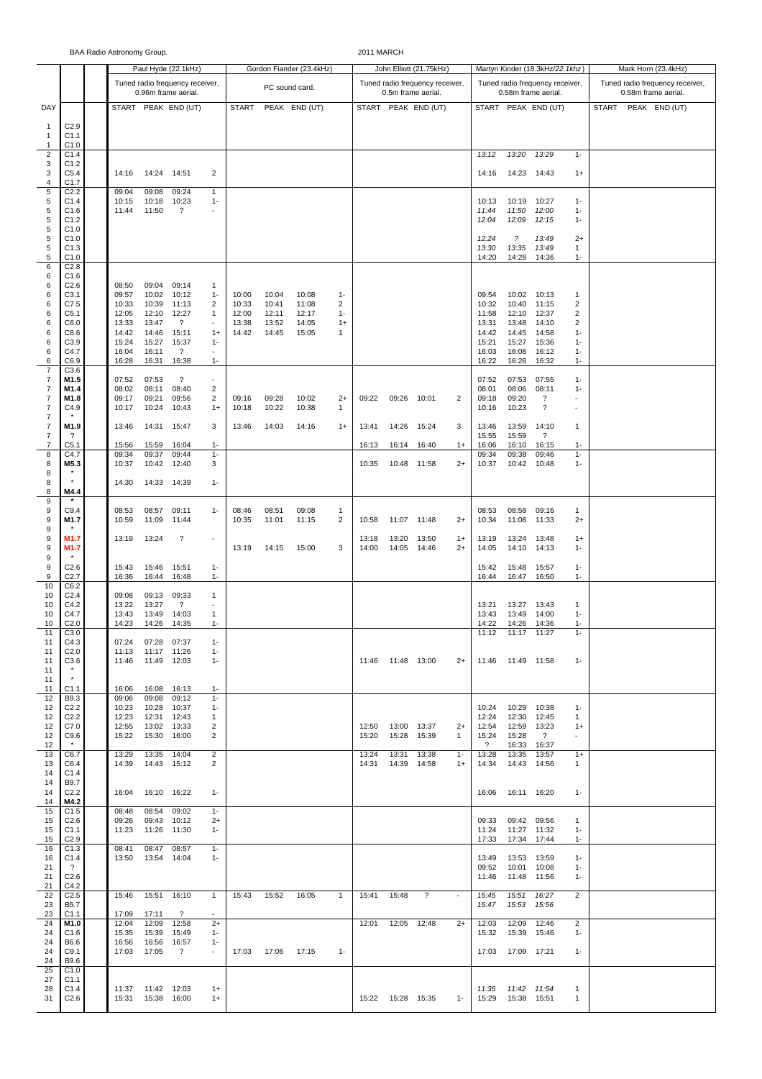|                                  | BAA Radio Astronomy Group.      |  |                |                |                                   |                                 |                |                          |                |                      |                         | 2011 MARCH          |                                 |                |                                 |                          |                                 |                                                      |                                 |  |                     |  |  |
|----------------------------------|---------------------------------|--|----------------|----------------|-----------------------------------|---------------------------------|----------------|--------------------------|----------------|----------------------|-------------------------|---------------------|---------------------------------|----------------|---------------------------------|--------------------------|---------------------------------|------------------------------------------------------|---------------------------------|--|---------------------|--|--|
|                                  |                                 |  |                |                | Paul Hyde (22.1kHz)               |                                 |                | Gordon Fiander (23.4kHz) |                |                      | John Elliott (21.75kHz) |                     |                                 |                | Martyn Kinder (18.3kHz/22.1khz) |                          | Mark Horn (23.4kHz)             |                                                      |                                 |  |                     |  |  |
|                                  |                                 |  |                |                | Tuned radio frequency receiver,   |                                 |                |                          |                |                      |                         |                     | Tuned radio frequency receiver, |                |                                 |                          | Tuned radio frequency receiver, |                                                      | Tuned radio frequency receiver, |  |                     |  |  |
|                                  |                                 |  |                |                | 0.96m frame aerial.               |                                 |                | PC sound card.           |                |                      |                         |                     | 0.5m frame aerial.              |                |                                 |                          | 0.58m frame aerial.             |                                                      | 0.58m frame aerial.             |  |                     |  |  |
| DAY                              |                                 |  |                |                | START PEAK END (UT)               |                                 | <b>START</b>   |                          | PEAK END (UT)  |                      |                         |                     | START PEAK END (UT)             |                |                                 |                          | START PEAK END (UT)             |                                                      |                                 |  | START PEAK END (UT) |  |  |
| $\mathbf{1}$                     | C2.9                            |  |                |                |                                   |                                 |                |                          |                |                      |                         |                     |                                 |                |                                 |                          |                                 |                                                      |                                 |  |                     |  |  |
| $\mathbf{1}$<br>$\mathbf{1}$     | C1.1<br>C1.0                    |  |                |                |                                   |                                 |                |                          |                |                      |                         |                     |                                 |                |                                 |                          |                                 |                                                      |                                 |  |                     |  |  |
| $\overline{c}$                   | C1.4                            |  |                |                |                                   |                                 |                |                          |                |                      |                         |                     |                                 |                | 13:12                           | 13:20                    | 13:29                           | $1 -$                                                |                                 |  |                     |  |  |
| 3<br>3                           | C <sub>1.2</sub><br>C5.4        |  | 14:16          | 14:24 14:51    |                                   | 2                               |                |                          |                |                      |                         |                     |                                 |                | 14:16                           | 14:23 14:43              |                                 | $1+$                                                 |                                 |  |                     |  |  |
| 4                                | C1.7                            |  |                |                |                                   |                                 |                |                          |                |                      |                         |                     |                                 |                |                                 |                          |                                 |                                                      |                                 |  |                     |  |  |
| 5<br>$\,$ 5 $\,$                 | C2.2<br>C <sub>1.4</sub>        |  | 09:04<br>10:15 | 09:08<br>10:18 | 09:24<br>10:23                    | 1<br>$1 -$                      |                |                          |                |                      |                         |                     |                                 |                | 10:13                           | 10:19                    | 10:27                           | $1 -$                                                |                                 |  |                     |  |  |
| 5                                | C1.6                            |  | 11:44          | 11:50          | ?                                 | $\sim$                          |                |                          |                |                      |                         |                     |                                 |                | 11:44                           | 11:50                    | 12:00                           | $1 -$                                                |                                 |  |                     |  |  |
| 5<br>5                           | C1.2<br>C1.0                    |  |                |                |                                   |                                 |                |                          |                |                      |                         |                     |                                 |                | 12:04                           | 12:09                    | 12:15                           | $1 -$                                                |                                 |  |                     |  |  |
| 5                                | C1.0                            |  |                |                |                                   |                                 |                |                          |                |                      |                         |                     |                                 |                | 12:24                           | $\overline{\phantom{a}}$ | 13:49                           | $2+$                                                 |                                 |  |                     |  |  |
| $\,$ 5 $\,$<br>5                 | C1.3                            |  |                |                |                                   |                                 |                |                          |                |                      |                         |                     |                                 |                | 13:30                           | 13:35                    | 13:49                           | 1                                                    |                                 |  |                     |  |  |
| 6                                | C1.0<br>C <sub>2.8</sub>        |  |                |                |                                   |                                 |                |                          |                |                      |                         |                     |                                 |                | 14:20                           | 14:28                    | 14:36                           | $1 -$                                                |                                 |  |                     |  |  |
| 6                                | C1.6                            |  |                |                |                                   |                                 |                |                          |                |                      |                         |                     |                                 |                |                                 |                          |                                 |                                                      |                                 |  |                     |  |  |
| 6<br>6                           | C <sub>2.6</sub><br>C3.1        |  | 08:50<br>09:57 | 09:04<br>10:02 | 09:14<br>10:12                    | 1<br>$1 -$                      | 10:00          | 10:04                    | 10:08          | $1 -$                |                         |                     |                                 |                | 09:54                           | 10:02                    | 10:13                           | $\mathbf{1}$                                         |                                 |  |                     |  |  |
| 6                                | C7.5                            |  | 10:33          | 10:39          | 11:13                             | $\overline{2}$                  | 10:33          | 10:41                    | 11:08          | $\overline{2}$       |                         |                     |                                 |                | 10:32                           | 10:40                    | 11:15                           | 2                                                    |                                 |  |                     |  |  |
| 6<br>6                           | C <sub>5.1</sub><br>C6.0        |  | 12:05<br>13:33 | 12:10<br>13:47 | 12:27<br>$\gamma$                 | 1<br>$\blacksquare$             | 12:00<br>13:38 | 12:11<br>13:52           | 12:17<br>14:05 | $1 -$<br>$1+$        |                         |                     |                                 |                | 11:58<br>13:31                  | 12:10<br>13:48           | 12:37<br>14:10                  | 2<br>2                                               |                                 |  |                     |  |  |
| 6                                | C8.6                            |  | 14:42          | 14:46          | 15:11                             | $1+$                            | 14:42          | 14:45                    | 15:05          | 1                    |                         |                     |                                 |                | 14:42                           | 14:45                    | 14:58                           | $1 -$                                                |                                 |  |                     |  |  |
| 6<br>6                           | C <sub>3.9</sub><br>C4.7        |  | 15:24<br>16:04 | 15:27<br>16:11 | 15:37<br>$\gamma$                 | $1 -$                           |                |                          |                |                      |                         |                     |                                 |                | 15:21<br>16:03                  | 15:27<br>16:08           | 15:36<br>16:12                  | $1 -$<br>$1 -$                                       |                                 |  |                     |  |  |
| 6                                | C6.9                            |  | 16:28          | 16:31          | 16:38                             | $1 -$                           |                |                          |                |                      |                         |                     |                                 |                | 16:22                           | 16:26                    | 16:32                           | $1 -$                                                |                                 |  |                     |  |  |
| $\overline{7}$<br>7              | C3.6<br>M1.5                    |  | 07:52          | 07:53          | $\overline{\mathcal{E}}$          | $\sim$                          |                |                          |                |                      |                         |                     |                                 |                | 07:52                           | 07:53                    | 07:55                           | $1 -$                                                |                                 |  |                     |  |  |
| 7                                | M1.4                            |  | 08:02          | 08:11          | 08:40                             | $\overline{2}$                  |                |                          |                |                      |                         |                     |                                 |                | 08:01                           | 08:06                    | 08:11                           | $1 -$                                                |                                 |  |                     |  |  |
| $\overline{7}$<br>7              | M1.8<br>C4.9                    |  | 09:17<br>10:17 | 09:21<br>10:24 | 09:56<br>10:43                    | $\overline{\mathbf{c}}$<br>$1+$ | 09:16<br>10:18 | 09:28<br>10:22           | 10:02<br>10:38 | $2+$<br>$\mathbf{1}$ | 09:22                   | 09:26               | 10:01                           | $\overline{2}$ | 09:18<br>10:16                  | 09:20<br>10:23           | ?<br>?                          | $\overline{\phantom{a}}$<br>$\overline{\phantom{a}}$ |                                 |  |                     |  |  |
| $\overline{7}$                   |                                 |  |                |                |                                   |                                 |                |                          |                |                      |                         |                     |                                 |                |                                 |                          |                                 |                                                      |                                 |  |                     |  |  |
| $\overline{7}$<br>$\overline{7}$ | M1.9<br>?                       |  | 13:46          | 14:31          | 15:47                             | 3                               | 13:46          | 14:03                    | 14:16          | $1+$                 | 13:41                   | 14:26               | 15:24                           | 3              | 13:46<br>15:55                  | 13:59<br>15:59           | 14:10<br>$\gamma$               | $\mathbf{1}$                                         |                                 |  |                     |  |  |
| $\overline{7}$                   | C <sub>5.1</sub>                |  | 15:56          | 15:59          | 16:04                             | $1 -$                           |                |                          |                |                      | 16:13                   | 16:14               | 16:40                           | $1+$           | 16:06                           | 16:10                    | 16:15                           | $1 -$                                                |                                 |  |                     |  |  |
| 8<br>8                           | C4.7<br>M5.3                    |  | 09:34<br>10:37 | 09:37<br>10:42 | 09:44<br>12:40                    | $1 -$<br>3                      |                |                          |                |                      | 10:35                   |                     | 10:48 11:58                     | $2+$           | 09:34<br>10:37                  | 09:38<br>10:42           | 09:46<br>10:48                  | $1 -$<br>$1 -$                                       |                                 |  |                     |  |  |
| 8                                |                                 |  |                |                |                                   |                                 |                |                          |                |                      |                         |                     |                                 |                |                                 |                          |                                 |                                                      |                                 |  |                     |  |  |
| 8<br>8                           | $\star$<br>M4.4                 |  | 14:30          | 14:33 14:39    |                                   | $1 -$                           |                |                          |                |                      |                         |                     |                                 |                |                                 |                          |                                 |                                                      |                                 |  |                     |  |  |
| 9                                |                                 |  |                |                |                                   |                                 |                |                          |                |                      |                         |                     |                                 |                |                                 |                          |                                 |                                                      |                                 |  |                     |  |  |
| 9<br>9                           | C9.4                            |  | 08:53          | 08:57<br>11:09 | 09:11                             | $1 -$                           | 08:46          | 08:51<br>11:01           | 09:08          | 1<br>$\overline{2}$  |                         | 11:07               |                                 |                | 08:53                           | 08:58<br>11:08           | 09:16                           | 1<br>$2+$                                            |                                 |  |                     |  |  |
| 9                                | M1.7                            |  | 10:59          |                | 11:44                             |                                 | 10:35          |                          | 11:15          |                      | 10:58                   |                     | 11:48                           | $2+$           | 10:34                           |                          | 11:33                           |                                                      |                                 |  |                     |  |  |
| 9                                | M1.7                            |  | 13:19          | 13:24          | ?                                 | $\sim$                          |                |                          |                |                      | 13:18                   | 13:20               | 13:50                           | $1+$           | 13:19                           | 13:24                    | 13:48                           | $1+$                                                 |                                 |  |                     |  |  |
| 9<br>9                           | M1.7                            |  |                |                |                                   |                                 | 13:19          | 14:15                    | 15:00          | 3                    | 14:00                   | 14:05               | 14:46                           | $2+$           | 14:05                           | 14:10                    | 14:13                           | $1 -$                                                |                                 |  |                     |  |  |
| 9                                | C <sub>2.6</sub>                |  | 15:43          | 15:46          | 15:51                             | $1 -$                           |                |                          |                |                      |                         |                     |                                 |                | 15:42                           | 15:48                    | 15:57                           | $1 -$                                                |                                 |  |                     |  |  |
| 9<br>10                          | C <sub>2.7</sub><br>C6.2        |  | 16:36          | 16:44          | 16:48                             | $1 -$                           |                |                          |                |                      |                         |                     |                                 |                | 16:44                           | 16:47                    | 16:50                           | $1 -$                                                |                                 |  |                     |  |  |
| 10                               | C <sub>2.4</sub>                |  | 09:08          | 09:13          | 09:33                             | 1                               |                |                          |                |                      |                         |                     |                                 |                |                                 |                          |                                 |                                                      |                                 |  |                     |  |  |
| 10<br>10                         | C4.2<br>C4.7                    |  | 13:22<br>13:43 | 13:27<br>13:49 | $\overline{\mathcal{E}}$<br>14:03 | ٠<br>1                          |                |                          |                |                      |                         |                     |                                 |                | 13:21<br>13:43                  | 13:27<br>13:49           | 13:43<br>14:00                  | -1<br>$1 -$                                          |                                 |  |                     |  |  |
| 10                               | C <sub>2.0</sub>                |  | 14:23          | 14:26          | 14:35                             | $1 -$                           |                |                          |                |                      |                         |                     |                                 |                | 14:22                           | 14:26                    | 14:36                           | $1 -$                                                |                                 |  |                     |  |  |
| 11<br>11                         | C3.0<br>C4.3                    |  | 07:24          | 07:28          | 07:37                             | $1 -$                           |                |                          |                |                      |                         |                     |                                 |                | 11:12                           | 11:17                    | 11:27                           | $1 -$                                                |                                 |  |                     |  |  |
| 11                               | C <sub>2.0</sub>                |  | 11:13          | 11:17 11:26    |                                   | $1 -$                           |                |                          |                |                      |                         |                     |                                 |                |                                 |                          |                                 |                                                      |                                 |  |                     |  |  |
| 11<br>11                         | C3.6<br>$\star$                 |  | 11:46          | 11:49 12:03    |                                   | $1 -$                           |                |                          |                |                      |                         | 11:46 11:48 13:00   |                                 | $2+$           | 11:46                           | 11:49 11:58              |                                 | $1 -$                                                |                                 |  |                     |  |  |
| 11                               |                                 |  |                |                |                                   |                                 |                |                          |                |                      |                         |                     |                                 |                |                                 |                          |                                 |                                                      |                                 |  |                     |  |  |
| 11<br>12                         | C <sub>1.1</sub><br>B9.3        |  | 16:06<br>09:06 | 16:08<br>09:08 | 16:13<br>09:12                    | $1 -$<br>$1 -$                  |                |                          |                |                      |                         |                     |                                 |                |                                 |                          |                                 |                                                      |                                 |  |                     |  |  |
| 12                               | C <sub>2.2</sub>                |  | 10:23          | 10:28          | 10:37                             | $1 -$                           |                |                          |                |                      |                         |                     |                                 |                | 10:24                           | 10:29                    | 10:38                           | $1 -$                                                |                                 |  |                     |  |  |
| 12<br>12                         | C <sub>2.2</sub><br>C7.0        |  | 12:23<br>12:55 | 12:31<br>13:02 | 12:43<br>13:33                    | 1<br>2                          |                |                          |                |                      | 12:50                   | 13:00 13:37         |                                 | $2+$           | 12:24<br>12:54                  | 12:30<br>12:59           | 12:45<br>13:23                  | $\mathbf{1}$<br>$1+$                                 |                                 |  |                     |  |  |
| 12                               | C9.6                            |  | 15:22          | 15:30          | 16:00                             | 2                               |                |                          |                |                      | 15:20                   | 15:28               | 15:39                           | $\mathbf{1}$   | 15:24                           | 15:28                    | $\gamma$                        | $\overline{\phantom{a}}$                             |                                 |  |                     |  |  |
| 12<br>13                         | $\star$<br>C6.7                 |  | 13:29          | 13:35          | 14:04                             | 2                               |                |                          |                |                      | 13:24                   | 13:31               | 13:38                           | $1 -$          | $\gamma$<br>13:28               | 16:33<br>13:35           | 16:37<br>13:57                  | $1+$                                                 |                                 |  |                     |  |  |
| 13                               | C6.4                            |  | 14:39          | 14:43          | 15:12                             | 2                               |                |                          |                |                      | 14:31                   | 14:39               | 14:58                           | $1+$           | 14:34                           | 14:43                    | 14:56                           | 1                                                    |                                 |  |                     |  |  |
| 14                               | C1.4<br>B9.7                    |  |                |                |                                   |                                 |                |                          |                |                      |                         |                     |                                 |                |                                 |                          |                                 |                                                      |                                 |  |                     |  |  |
| 14<br>14                         | C <sub>2.2</sub>                |  | 16:04          |                | 16:10 16:22                       | $1 -$                           |                |                          |                |                      |                         |                     |                                 |                | 16:06                           | 16:11 16:20              |                                 | $1 -$                                                |                                 |  |                     |  |  |
| 14<br>15                         | M4.2<br>C <sub>1.5</sub>        |  | 08:48          | 08:54          | 09:02                             | $1 -$                           |                |                          |                |                      |                         |                     |                                 |                |                                 |                          |                                 |                                                      |                                 |  |                     |  |  |
| 15                               | C <sub>2.6</sub>                |  | 09:26          | 09:43          | 10:12                             | $2+$                            |                |                          |                |                      |                         |                     |                                 |                | 09:33                           | 09:42                    | 09:56                           | 1                                                    |                                 |  |                     |  |  |
| 15                               | C1.1                            |  | 11:23          | 11:26          | 11:30                             | $1 -$                           |                |                          |                |                      |                         |                     |                                 |                | 11:24                           | 11:27                    | 11:32                           | $1 -$                                                |                                 |  |                     |  |  |
| 15<br>16                         | C2.9<br>C <sub>1.3</sub>        |  | 08:41          | 08:47          | 08:57                             | $1 -$                           |                |                          |                |                      |                         |                     |                                 |                | 17:33                           | 17:34                    | 17:44                           | $1 -$                                                |                                 |  |                     |  |  |
| 16                               | C1.4                            |  | 13:50          | 13:54 14:04    |                                   | $1 -$                           |                |                          |                |                      |                         |                     |                                 |                | 13:49                           | 13:53                    | 13:59                           | $1 -$                                                |                                 |  |                     |  |  |
| 21<br>21                         | $\gamma$<br>C2.6                |  |                |                |                                   |                                 |                |                          |                |                      |                         |                     |                                 |                | 09:52<br>11:46                  | 10:01<br>11:48           | 10:08<br>11:56                  | $1 -$<br>$1 -$                                       |                                 |  |                     |  |  |
| 21                               | C4.2                            |  |                |                |                                   |                                 |                |                          |                |                      |                         |                     |                                 |                |                                 |                          |                                 |                                                      |                                 |  |                     |  |  |
| 22<br>23                         | C <sub>2.5</sub><br><b>B5.7</b> |  | 15:46          | 15:51          | 16:10                             | $\mathbf{1}$                    | 15:43          | 15:52                    | 16:05          | $\mathbf{1}$         | 15:41                   | 15:48               | $\gamma$                        | $\blacksquare$ | 15:45<br>15:47                  | 15:51<br>15:53           | 16:27<br>15:56                  | 2                                                    |                                 |  |                     |  |  |
| 23                               | C <sub>1.1</sub>                |  | 17:09          | 17:11          | ?                                 |                                 |                |                          |                |                      |                         |                     |                                 |                |                                 |                          |                                 |                                                      |                                 |  |                     |  |  |
| 24<br>24                         | M1.0<br>C <sub>1.6</sub>        |  | 12:04<br>15:35 | 12:09<br>15:39 | 12:58<br>15:49                    | $2+$<br>$1 -$                   |                |                          |                |                      | 12:01                   | 12:05               | 12:48                           | $2+$           | 12:03<br>15:32                  | 12:09<br>15:39           | 12:46<br>15:46                  | 2<br>$1 -$                                           |                                 |  |                     |  |  |
| 24                               | B6.6                            |  | 16:56          | 16:56          | 16:57                             | $1 -$                           |                |                          |                |                      |                         |                     |                                 |                |                                 |                          |                                 |                                                      |                                 |  |                     |  |  |
| 24<br>24                         | C9.1<br>B9.6                    |  | 17:03          | 17:05          | $\gamma$                          | $\blacksquare$                  | 17:03          | 17:06                    | 17:15          | $1 -$                |                         |                     |                                 |                | 17:03                           | 17:09 17:21              |                                 | $1 -$                                                |                                 |  |                     |  |  |
| 25                               | C1.0                            |  |                |                |                                   |                                 |                |                          |                |                      |                         |                     |                                 |                |                                 |                          |                                 |                                                      |                                 |  |                     |  |  |
| 27<br>28                         | C1.1<br>C1.4                    |  | 11:37          | 11:42 12:03    |                                   | $1+$                            |                |                          |                |                      |                         |                     |                                 |                | 11:35                           | 11:42 11:54              |                                 | -1                                                   |                                 |  |                     |  |  |
| 31                               | C2.6                            |  | 15:31          | 15:38 16:00    |                                   | $1+$                            |                |                          |                |                      |                         | 15:22  15:28  15:35 |                                 | $1 -$          | 15:29                           | 15:38 15:51              |                                 | $\mathbf{1}$                                         |                                 |  |                     |  |  |
|                                  |                                 |  |                |                |                                   |                                 |                |                          |                |                      |                         |                     |                                 |                |                                 |                          |                                 |                                                      |                                 |  |                     |  |  |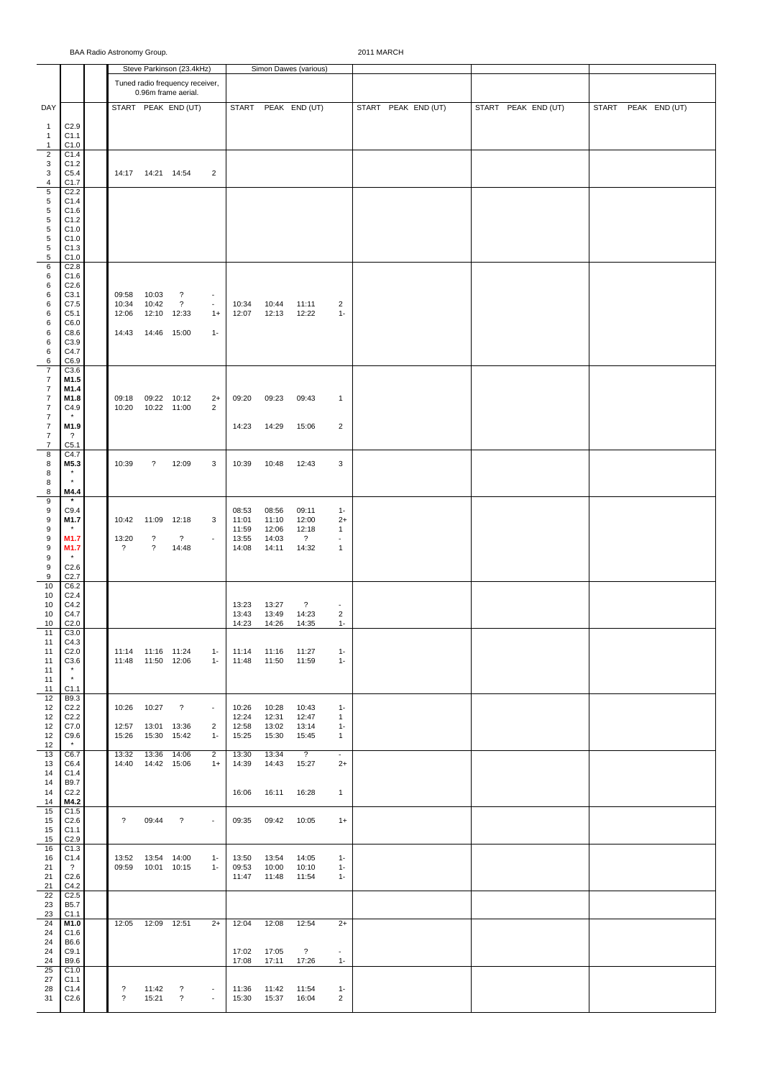|                                    |                                  |                          |                            | Steve Parkinson (23.4kHz)                              |                          |                |                | Simon Dawes (various)    |                                            |                     |                     |  |  |  |                     |  |  |
|------------------------------------|----------------------------------|--------------------------|----------------------------|--------------------------------------------------------|--------------------------|----------------|----------------|--------------------------|--------------------------------------------|---------------------|---------------------|--|--|--|---------------------|--|--|
|                                    |                                  |                          |                            | Tuned radio frequency receiver,<br>0.96m frame aerial. |                          |                |                |                          |                                            |                     |                     |  |  |  |                     |  |  |
| DAY                                |                                  |                          |                            | START PEAK END (UT)                                    |                          |                |                | START PEAK END (UT)      |                                            | START PEAK END (UT) | START PEAK END (UT) |  |  |  | START PEAK END (UT) |  |  |
| $\mathbf{1}$                       | C2.9                             |                          |                            |                                                        |                          |                |                |                          |                                            |                     |                     |  |  |  |                     |  |  |
| $\mathbf{1}$                       | C1.1                             |                          |                            |                                                        |                          |                |                |                          |                                            |                     |                     |  |  |  |                     |  |  |
| $\mathbf{1}$<br>$\overline{2}$     | C1.0<br>C1.4                     |                          |                            |                                                        |                          |                |                |                          |                                            |                     |                     |  |  |  |                     |  |  |
| 3                                  | C1.2                             |                          |                            |                                                        |                          |                |                |                          |                                            |                     |                     |  |  |  |                     |  |  |
| 3<br>4                             | C5.4<br>C1.7                     |                          | 14:17  14:21  14:54        |                                                        | $\overline{2}$           |                |                |                          |                                            |                     |                     |  |  |  |                     |  |  |
| $\,$ 5 $\,$                        | C <sub>2.2</sub>                 |                          |                            |                                                        |                          |                |                |                          |                                            |                     |                     |  |  |  |                     |  |  |
| 5<br>$\,$ 5 $\,$                   | C1.4<br>C1.6                     |                          |                            |                                                        |                          |                |                |                          |                                            |                     |                     |  |  |  |                     |  |  |
| $\,$ 5 $\,$                        | C1.2                             |                          |                            |                                                        |                          |                |                |                          |                                            |                     |                     |  |  |  |                     |  |  |
| 5<br>$\,$ 5 $\,$                   | C1.0<br>C1.0                     |                          |                            |                                                        |                          |                |                |                          |                                            |                     |                     |  |  |  |                     |  |  |
| 5                                  | C1.3                             |                          |                            |                                                        |                          |                |                |                          |                                            |                     |                     |  |  |  |                     |  |  |
| $\sqrt{5}$<br>6                    | C1.0<br>C2.8                     |                          |                            |                                                        |                          |                |                |                          |                                            |                     |                     |  |  |  |                     |  |  |
| 6                                  | C1.6                             |                          |                            |                                                        |                          |                |                |                          |                                            |                     |                     |  |  |  |                     |  |  |
| 6<br>6                             | C2.6<br>C3.1                     | 09:58                    | 10:03                      | ?                                                      | $\blacksquare$           |                |                |                          |                                            |                     |                     |  |  |  |                     |  |  |
| 6                                  | C7.5                             | 10:34                    | 10:42                      | $\gamma$                                               | $\blacksquare$           | 10:34          | 10:44          | 11:11                    | $\overline{2}$                             |                     |                     |  |  |  |                     |  |  |
| 6<br>6                             | C5.1<br>C6.0                     | 12:06                    | 12:10 12:33                |                                                        | $1+$                     | 12:07          | 12:13          | 12:22                    | $1 -$                                      |                     |                     |  |  |  |                     |  |  |
| 6                                  | C8.6                             | 14:43                    | 14:46 15:00                |                                                        | $1 -$                    |                |                |                          |                                            |                     |                     |  |  |  |                     |  |  |
| 6<br>6                             | C3.9<br>C4.7                     |                          |                            |                                                        |                          |                |                |                          |                                            |                     |                     |  |  |  |                     |  |  |
| 6                                  | C6.9                             |                          |                            |                                                        |                          |                |                |                          |                                            |                     |                     |  |  |  |                     |  |  |
| $\overline{7}$<br>$\overline{7}$   | C3.6<br>M1.5                     |                          |                            |                                                        |                          |                |                |                          |                                            |                     |                     |  |  |  |                     |  |  |
| $\overline{7}$                     | M1.4                             |                          |                            |                                                        |                          |                |                |                          |                                            |                     |                     |  |  |  |                     |  |  |
| $\overline{7}$                     | M1.8                             | 09:18                    | 09:22 10:12                |                                                        | $2+$                     | 09:20          | 09:23          | 09:43                    | $\mathbf{1}$                               |                     |                     |  |  |  |                     |  |  |
| $\overline{7}$<br>$\boldsymbol{7}$ | C4.9<br>$\star$                  | 10:20                    | 10:22 11:00                |                                                        | $\overline{2}$           |                |                |                          |                                            |                     |                     |  |  |  |                     |  |  |
| $\boldsymbol{7}$                   | M1.9                             |                          |                            |                                                        |                          | 14:23          | 14:29          | 15:06                    | $\overline{2}$                             |                     |                     |  |  |  |                     |  |  |
| $\boldsymbol{7}$<br>$\overline{7}$ | $\gamma$<br>C5.1                 |                          |                            |                                                        |                          |                |                |                          |                                            |                     |                     |  |  |  |                     |  |  |
| 8                                  | C4.7                             |                          |                            |                                                        |                          |                |                |                          |                                            |                     |                     |  |  |  |                     |  |  |
| 8<br>8                             | M5.3                             | 10:39                    | $\gamma$                   | 12:09                                                  | 3                        | 10:39          | 10:48          | 12:43                    | 3                                          |                     |                     |  |  |  |                     |  |  |
| 8                                  | $\star$                          |                          |                            |                                                        |                          |                |                |                          |                                            |                     |                     |  |  |  |                     |  |  |
| 8<br>9                             | M4.4<br>$\star$                  |                          |                            |                                                        |                          |                |                |                          |                                            |                     |                     |  |  |  |                     |  |  |
| 9                                  | C9.4                             |                          |                            |                                                        |                          | 08:53          | 08:56          | 09:11                    | $1 -$                                      |                     |                     |  |  |  |                     |  |  |
| 9<br>9                             | M1.7<br>$\pmb{\ast}$             | 10:42                    | 11:09                      | 12:18                                                  | 3                        | 11:01<br>11:59 | 11:10<br>12:06 | 12:00<br>12:18           | $2+$<br>$\mathbf{1}$                       |                     |                     |  |  |  |                     |  |  |
| 9                                  | M1.7                             | 13:20                    | $\overline{\mathcal{L}}$   | $\overline{?}$                                         | $\overline{\phantom{a}}$ | 13:55          | 14:03          | $\overline{?}$           | $\overline{\phantom{a}}$                   |                     |                     |  |  |  |                     |  |  |
| 9<br>9                             | M1.7                             | $\gamma$                 | $\overline{\mathcal{E}}$   | 14:48                                                  |                          | 14:08          | 14:11          | 14:32                    | $\mathbf{1}$                               |                     |                     |  |  |  |                     |  |  |
| 9                                  | C2.6                             |                          |                            |                                                        |                          |                |                |                          |                                            |                     |                     |  |  |  |                     |  |  |
| 9<br>10                            | C <sub>2.7</sub><br>C6.2         |                          |                            |                                                        |                          |                |                |                          |                                            |                     |                     |  |  |  |                     |  |  |
| 10                                 | C <sub>2.4</sub>                 |                          |                            |                                                        |                          |                |                |                          |                                            |                     |                     |  |  |  |                     |  |  |
| 10<br>10                           | C4.2<br>C4.7                     |                          |                            |                                                        |                          | 13:23<br>13:43 | 13:27<br>13:49 | $\gamma$<br>14:23        | $\overline{\phantom{a}}$<br>$\overline{2}$ |                     |                     |  |  |  |                     |  |  |
| 10                                 | C <sub>2.0</sub>                 |                          |                            |                                                        |                          | 14:23          | 14:26          | 14:35                    | $1 -$                                      |                     |                     |  |  |  |                     |  |  |
| 11<br>11                           | C3.0<br>C4.3                     |                          |                            |                                                        |                          |                |                |                          |                                            |                     |                     |  |  |  |                     |  |  |
| 11                                 | C <sub>2.0</sub>                 |                          | 11:14 11:16 11:24          |                                                        | $1 -$                    | 11:14          | 11:16          | 11:27                    | $1 -$                                      |                     |                     |  |  |  |                     |  |  |
| 11<br>11                           | C3.6<br>$\star$                  | 11:48                    | 11:50 12:06                |                                                        | $1 -$                    | 11:48          | 11:50          | 11:59                    | $1 -$                                      |                     |                     |  |  |  |                     |  |  |
| 11                                 | $\star$                          |                          |                            |                                                        |                          |                |                |                          |                                            |                     |                     |  |  |  |                     |  |  |
| 11<br>12                           | C1.1<br>B9.3                     |                          |                            |                                                        |                          |                |                |                          |                                            |                     |                     |  |  |  |                     |  |  |
| 12                                 | C <sub>2.2</sub>                 | 10:26                    | 10:27                      | $\overline{\cdot}$                                     | $\overline{\phantom{a}}$ | 10:26          | 10:28          | 10:43                    | $1 -$                                      |                     |                     |  |  |  |                     |  |  |
| 12<br>12                           | C <sub>2.2</sub><br>C7.0         | 12:57                    | 13:01                      | 13:36                                                  | $\overline{c}$           | 12:24<br>12:58 | 12:31<br>13:02 | 12:47<br>13:14           | $\mathbf{1}$<br>$1 -$                      |                     |                     |  |  |  |                     |  |  |
| 12                                 | C9.6                             | 15:26                    | 15:30                      | 15:42                                                  | $1 -$                    | 15:25          | 15:30          | 15:45                    | $\mathbf{1}$                               |                     |                     |  |  |  |                     |  |  |
| 12<br>13                           | $\star$<br>C6.7                  | 13:32                    | 13:36                      | 14:06                                                  | 2                        | 13:30          | 13:34          | $\overline{\phantom{a}}$ | $\blacksquare$                             |                     |                     |  |  |  |                     |  |  |
| 13                                 | C6.4                             | 14:40                    | 14:42 15:06                |                                                        | $1+$                     | 14:39          | 14:43          | 15:27                    | $2+$                                       |                     |                     |  |  |  |                     |  |  |
| 14<br>14                           | C1.4<br>B9.7                     |                          |                            |                                                        |                          |                |                |                          |                                            |                     |                     |  |  |  |                     |  |  |
| 14                                 | C <sub>2.2</sub>                 |                          |                            |                                                        |                          | 16:06          | 16:11          | 16:28                    | $\mathbf{1}$                               |                     |                     |  |  |  |                     |  |  |
| 14<br>15                           | M4.2<br>C1.5                     |                          |                            |                                                        |                          |                |                |                          |                                            |                     |                     |  |  |  |                     |  |  |
| 15                                 | C2.6                             | $\gamma$                 | 09:44                      | $\boldsymbol{\hat{?}}$                                 | ÷,                       | 09:35          | 09:42          | 10:05                    | $1+$                                       |                     |                     |  |  |  |                     |  |  |
| 15<br>15                           | C1.1<br>C <sub>2.9</sub>         |                          |                            |                                                        |                          |                |                |                          |                                            |                     |                     |  |  |  |                     |  |  |
| 16                                 | C1.3                             |                          |                            |                                                        |                          |                |                |                          |                                            |                     |                     |  |  |  |                     |  |  |
| 16<br>21                           | C1.4<br>$\overline{\mathcal{L}}$ | 13:52<br>09:59           | 13:54 14:00<br>10:01 10:15 |                                                        | $1 -$<br>$1 -$           | 13:50<br>09:53 | 13:54<br>10:00 | 14:05<br>10:10           | $1 -$<br>$1 -$                             |                     |                     |  |  |  |                     |  |  |
| 21                                 | C2.6                             |                          |                            |                                                        |                          | 11:47          | 11:48          | 11:54                    | $1 -$                                      |                     |                     |  |  |  |                     |  |  |
| 21<br>22                           | C4.2<br>C2.5                     |                          |                            |                                                        |                          |                |                |                          |                                            |                     |                     |  |  |  |                     |  |  |
| 23                                 | B5.7                             |                          |                            |                                                        |                          |                |                |                          |                                            |                     |                     |  |  |  |                     |  |  |
| 23<br>24                           | C <sub>1.1</sub><br>M1.0         | 12:05                    | 12:09 12:51                |                                                        | $2+$                     | 12:04          | 12:08          | 12:54                    | $2+$                                       |                     |                     |  |  |  |                     |  |  |
| 24                                 | C1.6                             |                          |                            |                                                        |                          |                |                |                          |                                            |                     |                     |  |  |  |                     |  |  |
| 24<br>24                           | B6.6<br>C9.1                     |                          |                            |                                                        |                          | 17:02          | 17:05          | $\overline{?}$           | $\overline{\phantom{a}}$                   |                     |                     |  |  |  |                     |  |  |
| 24                                 | B9.6                             |                          |                            |                                                        |                          | 17:08          | 17:11          | 17:26                    | $1 -$                                      |                     |                     |  |  |  |                     |  |  |
| 25<br>27                           | C1.0<br>C1.1                     |                          |                            |                                                        |                          |                |                |                          |                                            |                     |                     |  |  |  |                     |  |  |
| 28                                 | C1.4                             | $\ddot{\phantom{0}}$     | 11:42                      | $\boldsymbol{\hat{?}}$                                 | $\blacksquare$           | 11:36          | 11:42          | 11:54                    | $1 -$                                      |                     |                     |  |  |  |                     |  |  |
| 31                                 | C2.6                             | $\overline{\mathcal{E}}$ | 15:21                      | $\overline{\phantom{a}}$                               | ÷,                       | 15:30          | 15:37          | 16:04                    | $\overline{2}$                             |                     |                     |  |  |  |                     |  |  |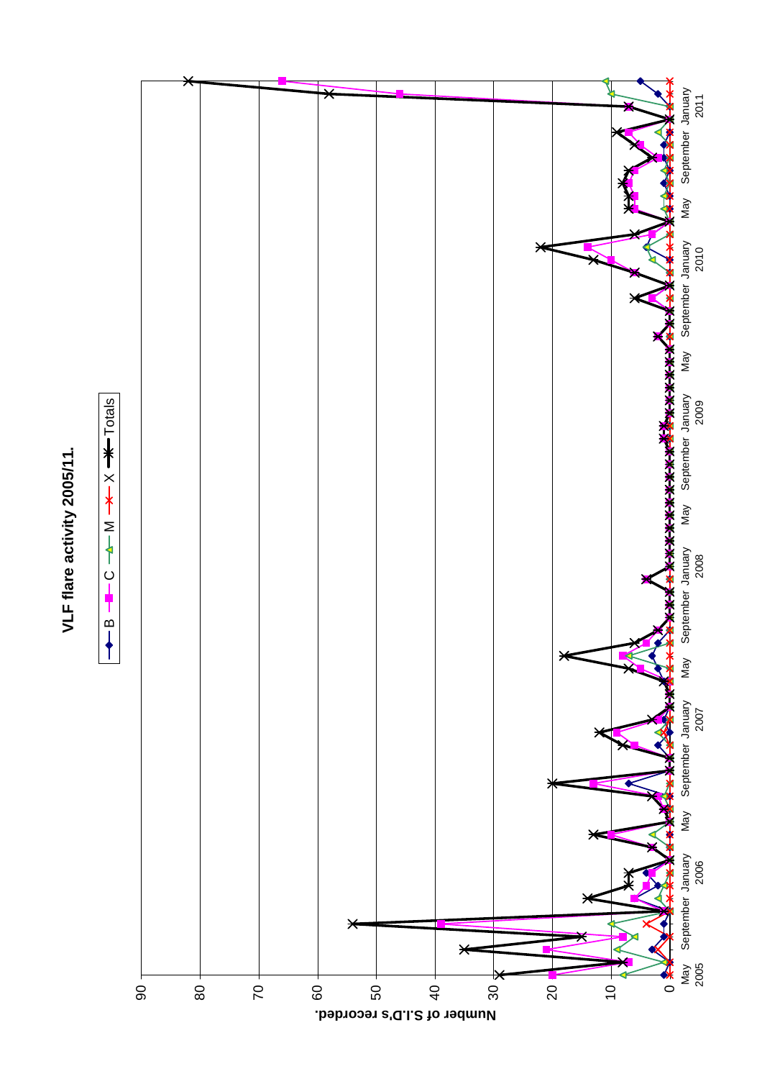



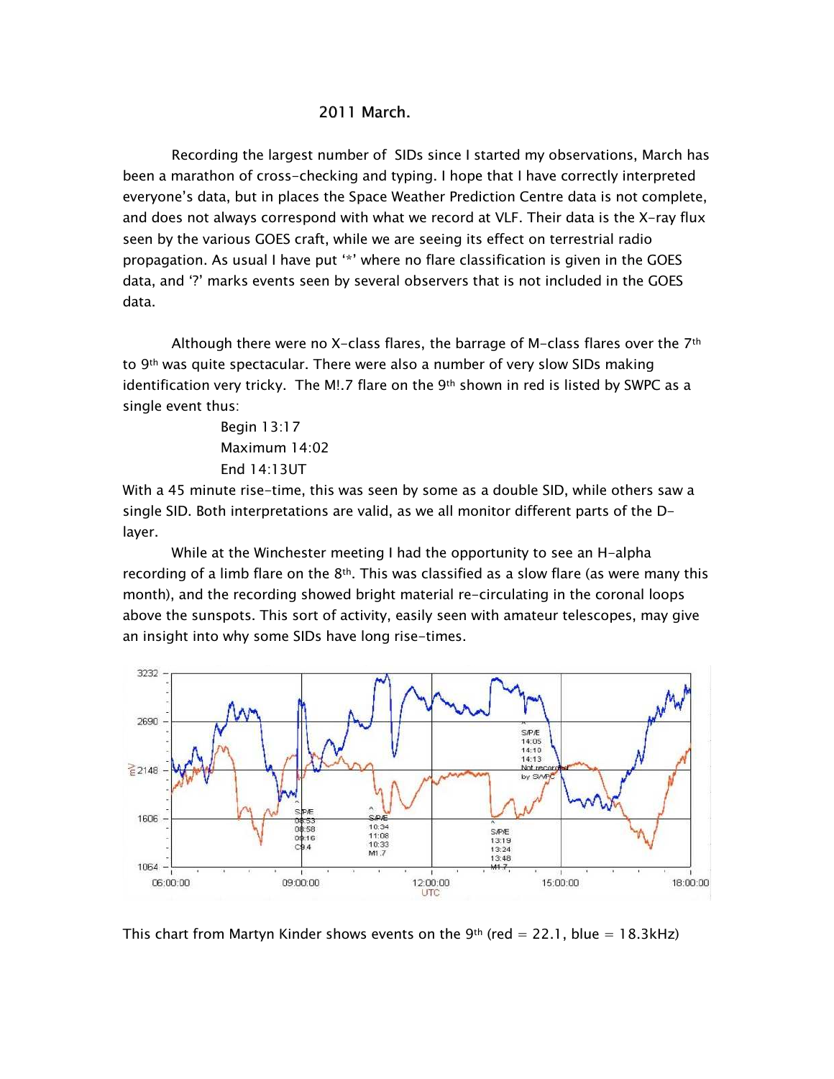## 2011 March.

Recording the largest number of SIDs since I started my observations, March has been a marathon of cross-checking and typing. I hope that I have correctly interpreted everyone's data, but in places the Space Weather Prediction Centre data is not complete, and does not always correspond with what we record at VLF. Their data is the X-ray flux seen by the various GOES craft, while we are seeing its effect on terrestrial radio propagation. As usual I have put '\*' where no flare classification is given in the GOES data, and '?' marks events seen by several observers that is not included in the GOES data.

Although there were no X-class flares, the barrage of M-class flares over the 7<sup>th</sup> to 9th was quite spectacular. There were also a number of very slow SIDs making identification very tricky. The M!.7 flare on the 9<sup>th</sup> shown in red is listed by SWPC as a single event thus:

> Begin 13:17 Maximum 14:02 End 14:13UT

With a 45 minute rise-time, this was seen by some as a double SID, while others saw a single SID. Both interpretations are valid, as we all monitor different parts of the Dlayer.

While at the Winchester meeting I had the opportunity to see an H-alpha recording of a limb flare on the  $8<sup>th</sup>$ . This was classified as a slow flare (as were many this month), and the recording showed bright material re-circulating in the coronal loops above the sunspots. This sort of activity, easily seen with amateur telescopes, may give an insight into why some SIDs have long rise-times.



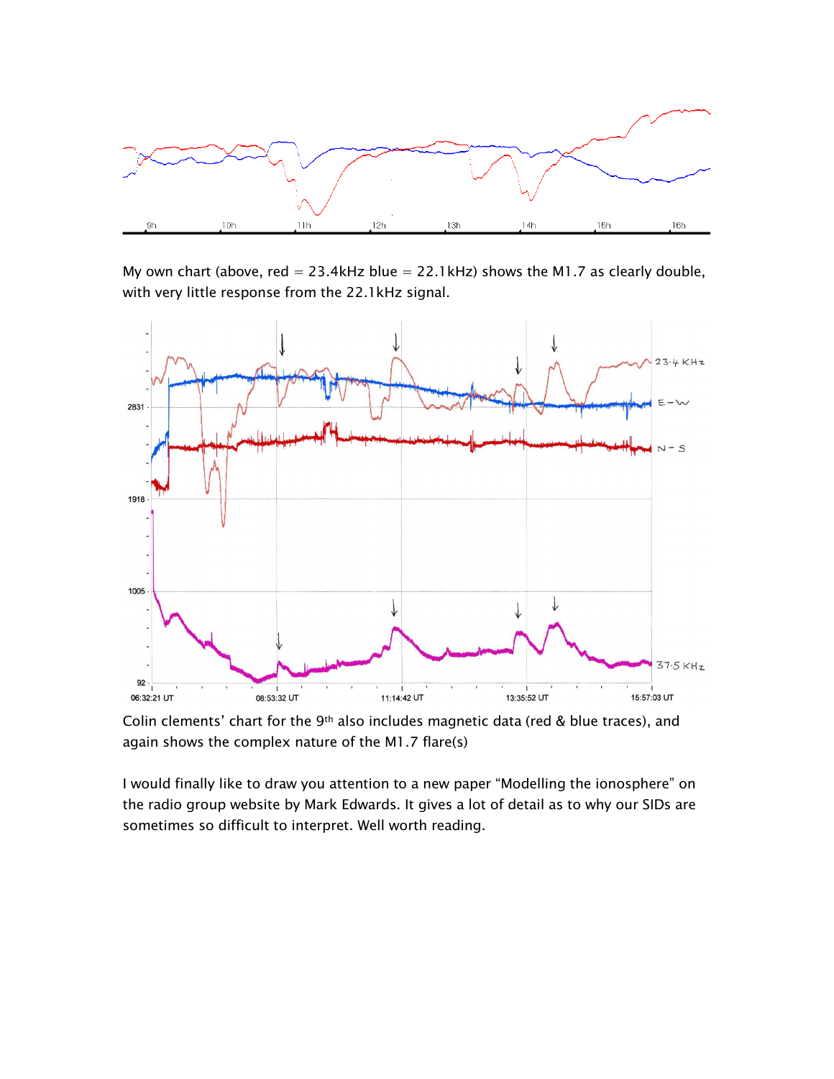

My own chart (above, red =  $23.4$ kHz blue =  $22.1$ kHz) shows the M1.7 as clearly double, with very little response from the 22.1kHz signal.



Colin clements' chart for the 9<sup>th</sup> also includes magnetic data (red & blue traces), and again shows the complex nature of the M1.7 flare(s)

I would finally like to draw you attention to a new paper "Modelling the ionosphere" on the radio group website by Mark Edwards. It gives a lot of detail as to why our SIDs are sometimes so difficult to interpret. Well worth reading.